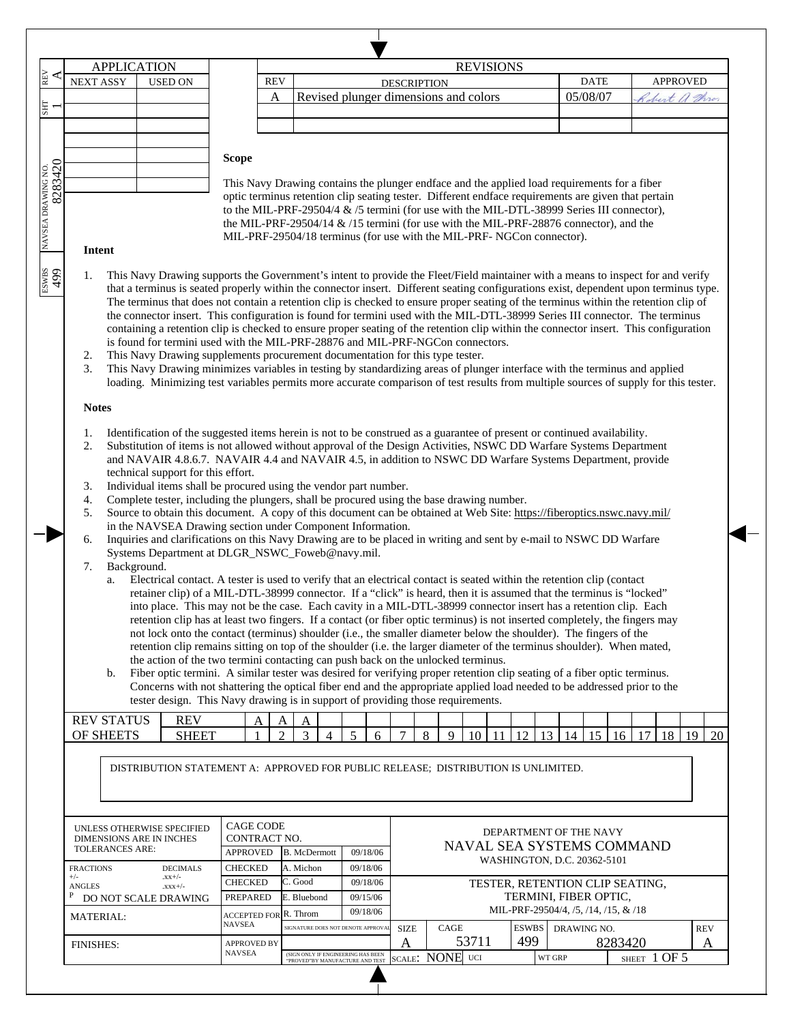|                                                                                   | <b>APPLICATION</b>                                                                                                                                                                                                                                   |                                             |                                                                                                                                                                                                            |                                   |                |                                   |                |                      |          |                                       |      |       | <b>REVISIONS</b>                                                                                    |                                                          |          |              |              |                 |                 |
|-----------------------------------------------------------------------------------|------------------------------------------------------------------------------------------------------------------------------------------------------------------------------------------------------------------------------------------------------|---------------------------------------------|------------------------------------------------------------------------------------------------------------------------------------------------------------------------------------------------------------|-----------------------------------|----------------|-----------------------------------|----------------|----------------------|----------|---------------------------------------|------|-------|-----------------------------------------------------------------------------------------------------|----------------------------------------------------------|----------|--------------|--------------|-----------------|-----------------|
|                                                                                   | <b>NEXT ASSY</b>                                                                                                                                                                                                                                     |                                             | <b>USED ON</b>                                                                                                                                                                                             |                                   | <b>REV</b>     |                                   |                |                      |          | <b>DESCRIPTION</b>                    |      |       |                                                                                                     |                                                          | DATE     |              |              | <b>APPROVED</b> |                 |
|                                                                                   |                                                                                                                                                                                                                                                      |                                             |                                                                                                                                                                                                            |                                   | A              |                                   |                |                      |          | Revised plunger dimensions and colors |      |       |                                                                                                     |                                                          | 05/08/07 |              | bert a throw |                 |                 |
|                                                                                   |                                                                                                                                                                                                                                                      |                                             |                                                                                                                                                                                                            |                                   |                |                                   |                |                      |          |                                       |      |       |                                                                                                     |                                                          |          |              |              |                 |                 |
|                                                                                   |                                                                                                                                                                                                                                                      |                                             |                                                                                                                                                                                                            |                                   |                |                                   |                |                      |          |                                       |      |       |                                                                                                     |                                                          |          |              |              |                 |                 |
|                                                                                   |                                                                                                                                                                                                                                                      |                                             |                                                                                                                                                                                                            |                                   |                |                                   |                |                      |          |                                       |      |       |                                                                                                     |                                                          |          |              |              |                 |                 |
|                                                                                   |                                                                                                                                                                                                                                                      |                                             |                                                                                                                                                                                                            | <b>Scope</b>                      |                |                                   |                |                      |          |                                       |      |       |                                                                                                     |                                                          |          |              |              |                 |                 |
|                                                                                   |                                                                                                                                                                                                                                                      |                                             |                                                                                                                                                                                                            |                                   |                |                                   |                |                      |          |                                       |      |       | This Navy Drawing contains the plunger endface and the applied load requirements for a fiber        |                                                          |          |              |              |                 |                 |
| 8283420                                                                           |                                                                                                                                                                                                                                                      |                                             |                                                                                                                                                                                                            |                                   |                |                                   |                |                      |          |                                       |      |       | optic terminus retention clip seating tester. Different endface requirements are given that pertain |                                                          |          |              |              |                 |                 |
|                                                                                   |                                                                                                                                                                                                                                                      |                                             |                                                                                                                                                                                                            |                                   |                |                                   |                |                      |          |                                       |      |       | to the MIL-PRF-29504/4 & /5 termini (for use with the MIL-DTL-38999 Series III connector),          |                                                          |          |              |              |                 |                 |
|                                                                                   |                                                                                                                                                                                                                                                      |                                             |                                                                                                                                                                                                            |                                   |                |                                   |                |                      |          |                                       |      |       | the MIL-PRF-29504/14 $\&$ /15 termini (for use with the MIL-PRF-28876 connector), and the           |                                                          |          |              |              |                 |                 |
|                                                                                   | Intent                                                                                                                                                                                                                                               |                                             |                                                                                                                                                                                                            |                                   |                |                                   |                |                      |          |                                       |      |       | MIL-PRF-29504/18 terminus (for use with the MIL-PRF-NGCon connector).                               |                                                          |          |              |              |                 |                 |
|                                                                                   |                                                                                                                                                                                                                                                      |                                             |                                                                                                                                                                                                            |                                   |                |                                   |                |                      |          |                                       |      |       |                                                                                                     |                                                          |          |              |              |                 |                 |
|                                                                                   | This Navy Drawing supports the Government's intent to provide the Fleet/Field maintainer with a means to inspect for and verify<br>1.                                                                                                                |                                             |                                                                                                                                                                                                            |                                   |                |                                   |                |                      |          |                                       |      |       |                                                                                                     |                                                          |          |              |              |                 |                 |
|                                                                                   |                                                                                                                                                                                                                                                      |                                             | that a terminus is seated properly within the connector insert. Different seating configurations exist, dependent upon terminus type.                                                                      |                                   |                |                                   |                |                      |          |                                       |      |       |                                                                                                     |                                                          |          |              |              |                 |                 |
|                                                                                   |                                                                                                                                                                                                                                                      |                                             | The terminus that does not contain a retention clip is checked to ensure proper seating of the terminus within the retention clip of                                                                       |                                   |                |                                   |                |                      |          |                                       |      |       |                                                                                                     |                                                          |          |              |              |                 |                 |
|                                                                                   |                                                                                                                                                                                                                                                      |                                             | the connector insert. This configuration is found for termini used with the MIL-DTL-38999 Series III connector. The terminus                                                                               |                                   |                |                                   |                |                      |          |                                       |      |       |                                                                                                     |                                                          |          |              |              |                 |                 |
|                                                                                   | containing a retention clip is checked to ensure proper seating of the retention clip within the connector insert. This configuration<br>is found for termini used with the MIL-PRF-28876 and MIL-PRF-NGCon connectors.                              |                                             |                                                                                                                                                                                                            |                                   |                |                                   |                |                      |          |                                       |      |       |                                                                                                     |                                                          |          |              |              |                 |                 |
|                                                                                   | This Navy Drawing supplements procurement documentation for this type tester.<br>2.                                                                                                                                                                  |                                             |                                                                                                                                                                                                            |                                   |                |                                   |                |                      |          |                                       |      |       |                                                                                                     |                                                          |          |              |              |                 |                 |
|                                                                                   | 3.                                                                                                                                                                                                                                                   |                                             | This Navy Drawing minimizes variables in testing by standardizing areas of plunger interface with the terminus and applied                                                                                 |                                   |                |                                   |                |                      |          |                                       |      |       |                                                                                                     |                                                          |          |              |              |                 |                 |
|                                                                                   |                                                                                                                                                                                                                                                      |                                             | loading. Minimizing test variables permits more accurate comparison of test results from multiple sources of supply for this tester.                                                                       |                                   |                |                                   |                |                      |          |                                       |      |       |                                                                                                     |                                                          |          |              |              |                 |                 |
|                                                                                   | <b>Notes</b>                                                                                                                                                                                                                                         |                                             |                                                                                                                                                                                                            |                                   |                |                                   |                |                      |          |                                       |      |       |                                                                                                     |                                                          |          |              |              |                 |                 |
|                                                                                   |                                                                                                                                                                                                                                                      |                                             |                                                                                                                                                                                                            |                                   |                |                                   |                |                      |          |                                       |      |       |                                                                                                     |                                                          |          |              |              |                 |                 |
|                                                                                   | 1.                                                                                                                                                                                                                                                   |                                             | Identification of the suggested items herein is not to be construed as a guarantee of present or continued availability.                                                                                   |                                   |                |                                   |                |                      |          |                                       |      |       |                                                                                                     |                                                          |          |              |              |                 |                 |
|                                                                                   | 2.                                                                                                                                                                                                                                                   |                                             | Substitution of items is not allowed without approval of the Design Activities, NSWC DD Warfare Systems Department                                                                                         |                                   |                |                                   |                |                      |          |                                       |      |       |                                                                                                     |                                                          |          |              |              |                 |                 |
|                                                                                   | and NAVAIR 4.8.6.7. NAVAIR 4.4 and NAVAIR 4.5, in addition to NSWC DD Warfare Systems Department, provide<br>technical support for this effort.                                                                                                      |                                             |                                                                                                                                                                                                            |                                   |                |                                   |                |                      |          |                                       |      |       |                                                                                                     |                                                          |          |              |              |                 |                 |
|                                                                                   | 3.                                                                                                                                                                                                                                                   |                                             | Individual items shall be procured using the vendor part number.                                                                                                                                           |                                   |                |                                   |                |                      |          |                                       |      |       |                                                                                                     |                                                          |          |              |              |                 |                 |
|                                                                                   | 4.                                                                                                                                                                                                                                                   |                                             | Complete tester, including the plungers, shall be procured using the base drawing number.                                                                                                                  |                                   |                |                                   |                |                      |          |                                       |      |       |                                                                                                     |                                                          |          |              |              |                 |                 |
|                                                                                   | 5.                                                                                                                                                                                                                                                   |                                             | Source to obtain this document. A copy of this document can be obtained at Web Site: https://fiberoptics.nswc.navy.mil/                                                                                    |                                   |                |                                   |                |                      |          |                                       |      |       |                                                                                                     |                                                          |          |              |              |                 |                 |
|                                                                                   |                                                                                                                                                                                                                                                      |                                             | in the NAVSEA Drawing section under Component Information.                                                                                                                                                 |                                   |                |                                   |                |                      |          |                                       |      |       |                                                                                                     |                                                          |          |              |              |                 |                 |
|                                                                                   | 6.                                                                                                                                                                                                                                                   |                                             | Inquiries and clarifications on this Navy Drawing are to be placed in writing and sent by e-mail to NSWC DD Warfare                                                                                        |                                   |                |                                   |                |                      |          |                                       |      |       |                                                                                                     |                                                          |          |              |              |                 |                 |
|                                                                                   |                                                                                                                                                                                                                                                      |                                             | Systems Department at DLGR_NSWC_Foweb@navy.mil.                                                                                                                                                            |                                   |                |                                   |                |                      |          |                                       |      |       |                                                                                                     |                                                          |          |              |              |                 |                 |
|                                                                                   | Background.<br>7.                                                                                                                                                                                                                                    |                                             |                                                                                                                                                                                                            |                                   |                |                                   |                |                      |          |                                       |      |       |                                                                                                     |                                                          |          |              |              |                 |                 |
|                                                                                   | Electrical contact. A tester is used to verify that an electrical contact is seated within the retention clip (contact<br>a.<br>retainer clip) of a MIL-DTL-38999 connector. If a "click" is heard, then it is assumed that the terminus is "locked" |                                             |                                                                                                                                                                                                            |                                   |                |                                   |                |                      |          |                                       |      |       |                                                                                                     |                                                          |          |              |              |                 |                 |
|                                                                                   |                                                                                                                                                                                                                                                      |                                             | into place. This may not be the case. Each cavity in a MIL-DTL-38999 connector insert has a retention clip. Each                                                                                           |                                   |                |                                   |                |                      |          |                                       |      |       |                                                                                                     |                                                          |          |              |              |                 |                 |
|                                                                                   |                                                                                                                                                                                                                                                      |                                             | retention clip has at least two fingers. If a contact (or fiber optic terminus) is not inserted completely, the fingers may                                                                                |                                   |                |                                   |                |                      |          |                                       |      |       |                                                                                                     |                                                          |          |              |              |                 |                 |
|                                                                                   |                                                                                                                                                                                                                                                      |                                             | not lock onto the contact (terminus) shoulder (i.e., the smaller diameter below the shoulder). The fingers of the                                                                                          |                                   |                |                                   |                |                      |          |                                       |      |       |                                                                                                     |                                                          |          |              |              |                 |                 |
|                                                                                   |                                                                                                                                                                                                                                                      |                                             | retention clip remains sitting on top of the shoulder (i.e. the larger diameter of the terminus shoulder). When mated,<br>the action of the two termini contacting can push back on the unlocked terminus. |                                   |                |                                   |                |                      |          |                                       |      |       |                                                                                                     |                                                          |          |              |              |                 |                 |
|                                                                                   | b.                                                                                                                                                                                                                                                   |                                             | Fiber optic termini. A similar tester was desired for verifying proper retention clip seating of a fiber optic terminus.                                                                                   |                                   |                |                                   |                |                      |          |                                       |      |       |                                                                                                     |                                                          |          |              |              |                 |                 |
|                                                                                   |                                                                                                                                                                                                                                                      |                                             | Concerns with not shattering the optical fiber end and the appropriate applied load needed to be addressed prior to the                                                                                    |                                   |                |                                   |                |                      |          |                                       |      |       |                                                                                                     |                                                          |          |              |              |                 |                 |
|                                                                                   |                                                                                                                                                                                                                                                      |                                             | tester design. This Navy drawing is in support of providing those requirements.                                                                                                                            |                                   |                |                                   |                |                      |          |                                       |      |       |                                                                                                     |                                                          |          |              |              |                 |                 |
|                                                                                   | <b>REV STATUS</b>                                                                                                                                                                                                                                    |                                             | <b>REV</b>                                                                                                                                                                                                 | A                                 | Α              | A                                 |                |                      |          |                                       |      |       |                                                                                                     |                                                          |          |              |              |                 |                 |
|                                                                                   | OF SHEETS                                                                                                                                                                                                                                            |                                             | <b>SHEET</b>                                                                                                                                                                                               |                                   | $\overline{2}$ | 3                                 | $\overline{4}$ | 5                    | 6        | $\tau$<br>8                           | 9    | 10    | 11<br>12                                                                                            | 13<br>14                                                 | 15       | $ 16\rangle$ | 17<br>18     | <sup>19</sup>   | 20              |
|                                                                                   |                                                                                                                                                                                                                                                      |                                             |                                                                                                                                                                                                            |                                   |                |                                   |                |                      |          |                                       |      |       |                                                                                                     |                                                          |          |              |              |                 |                 |
| DISTRIBUTION STATEMENT A: APPROVED FOR PUBLIC RELEASE; DISTRIBUTION IS UNLIMITED. |                                                                                                                                                                                                                                                      |                                             |                                                                                                                                                                                                            |                                   |                |                                   |                |                      |          |                                       |      |       |                                                                                                     |                                                          |          |              |              |                 |                 |
|                                                                                   |                                                                                                                                                                                                                                                      |                                             |                                                                                                                                                                                                            |                                   |                |                                   |                |                      |          |                                       |      |       |                                                                                                     |                                                          |          |              |              |                 |                 |
|                                                                                   |                                                                                                                                                                                                                                                      |                                             |                                                                                                                                                                                                            |                                   |                |                                   |                |                      |          |                                       |      |       |                                                                                                     |                                                          |          |              |              |                 |                 |
|                                                                                   |                                                                                                                                                                                                                                                      |                                             |                                                                                                                                                                                                            |                                   |                |                                   |                |                      |          |                                       |      |       |                                                                                                     |                                                          |          |              |              |                 |                 |
|                                                                                   |                                                                                                                                                                                                                                                      |                                             |                                                                                                                                                                                                            | <b>CAGE CODE</b><br>CONTRACT NO.  |                |                                   |                |                      |          |                                       |      |       | DEPARTMENT OF THE NAVY                                                                              |                                                          |          |              |              |                 |                 |
|                                                                                   | UNLESS OTHERWISE SPECIFIED                                                                                                                                                                                                                           | DIMENSIONS ARE IN INCHES<br>TOLERANCES ARE: |                                                                                                                                                                                                            |                                   |                | B. McDermott                      |                |                      | 09/18/06 | NAVAL SEA SYSTEMS COMMAND             |      |       |                                                                                                     |                                                          |          |              |              |                 |                 |
|                                                                                   |                                                                                                                                                                                                                                                      |                                             |                                                                                                                                                                                                            | <b>APPROVED</b><br><b>CHECKED</b> |                | A. Michon                         |                | 09/18/06             |          |                                       |      |       | WASHINGTON, D.C. 20362-5101                                                                         |                                                          |          |              |              |                 |                 |
|                                                                                   |                                                                                                                                                                                                                                                      |                                             |                                                                                                                                                                                                            |                                   |                | C. Good                           |                |                      |          |                                       |      |       |                                                                                                     |                                                          |          |              |              |                 |                 |
| $+/-$                                                                             | <b>FRACTIONS</b>                                                                                                                                                                                                                                     |                                             | <b>DECIMALS</b><br>$xx+/-$                                                                                                                                                                                 |                                   |                | E. Bluebond                       |                | 09/18/06<br>09/15/06 |          |                                       |      |       |                                                                                                     | TESTER, RETENTION CLIP SEATING,<br>TERMINI, FIBER OPTIC, |          |              |              |                 |                 |
| P                                                                                 | <b>ANGLES</b>                                                                                                                                                                                                                                        |                                             | $.$ x x x +/-                                                                                                                                                                                              | <b>CHECKED</b><br><b>PREPARED</b> |                |                                   |                |                      |          |                                       |      |       |                                                                                                     |                                                          |          |              |              |                 |                 |
|                                                                                   | DO NOT SCALE DRAWING                                                                                                                                                                                                                                 |                                             |                                                                                                                                                                                                            |                                   |                |                                   |                | 09/18/06             |          |                                       |      |       | MIL-PRF-29504/4, /5, /14, /15, & /18                                                                |                                                          |          |              |              |                 |                 |
|                                                                                   | <b>MATERIAL:</b>                                                                                                                                                                                                                                     |                                             |                                                                                                                                                                                                            | ACCEPTED FOR R. Throm<br>NAVSEA   |                | SIGNATURE DOES NOT DENOTE APPROVA |                |                      |          |                                       | CAGE |       | <b>ESWBS</b>                                                                                        |                                                          |          |              |              |                 |                 |
|                                                                                   | <b>FINISHES:</b>                                                                                                                                                                                                                                     |                                             |                                                                                                                                                                                                            | <b>APPROVED BY</b>                |                |                                   |                |                      |          | <b>SIZE</b><br>Α                      |      | 53711 | 499                                                                                                 | DRAWING NO.                                              |          | 8283420      |              |                 | <b>REV</b><br>A |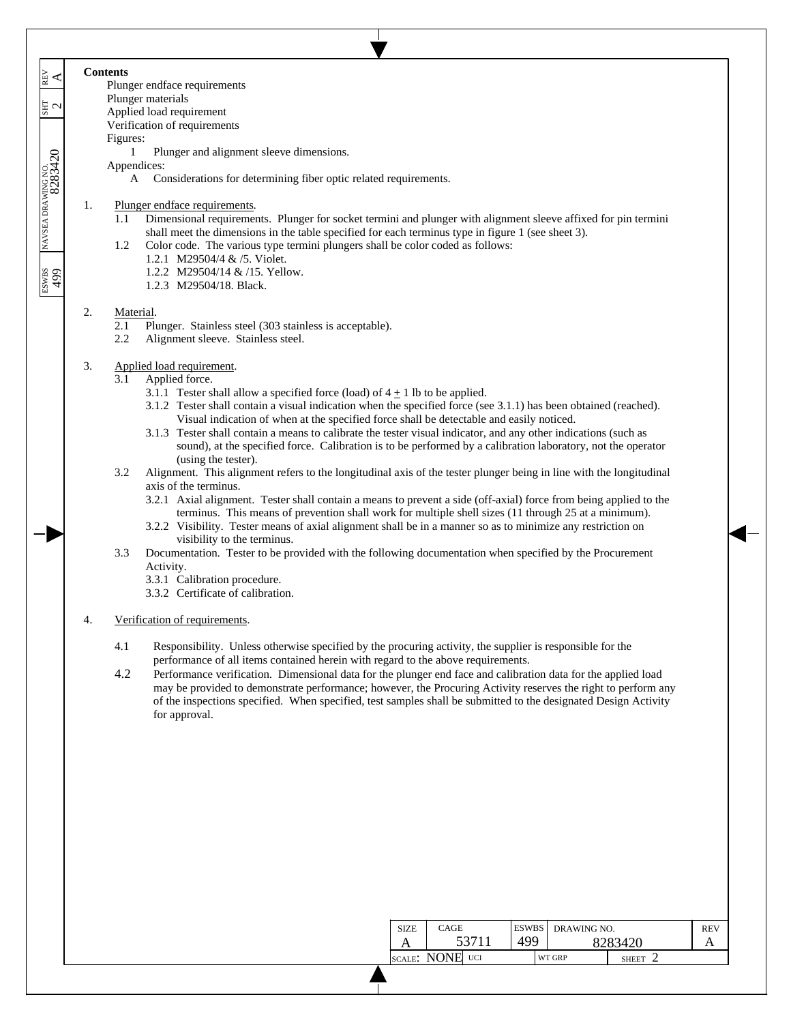7 **Contents** ESWBS NAVSEA DRAWING NO. SHT REV 499 8283420 2 A EN<br>A Plunger endface requirements Plunger materials  $\frac{1}{2}$ Applied load requirement Verification of requirements Figures: NAVSEA DRAWING NO.<br>8283420 1 Plunger and alignment sleeve dimensions. Appendices: A Considerations for determining fiber optic related requirements. 1. Plunger endface requirements. 1.1 Dimensional requirements. Plunger for socket termini and plunger with alignment sleeve affixed for pin termini shall meet the dimensions in the table specified for each terminus type in figure 1 (see sheet 3). 1.2 Color code. The various type termini plungers shall be color coded as follows: 1.2.1 M29504/4 & /5. Violet. 667<br>samsa 1.2.2 M29504/14 & /15. Yellow. 1.2.3 M29504/18. Black. 2. Material. 2.1 Plunger. Stainless steel (303 stainless is acceptable). 2.2 Alignment sleeve. Stainless steel. 3. Applied load requirement. 3.1 Applied force. 3.1.1 Tester shall allow a specified force (load) of  $4 + 1$  lb to be applied. 3.1.2 Tester shall contain a visual indication when the specified force (see 3.1.1) has been obtained (reached). Visual indication of when at the specified force shall be detectable and easily noticed. 3.1.3 Tester shall contain a means to calibrate the tester visual indicator, and any other indications (such as sound), at the specified force. Calibration is to be performed by a calibration laboratory, not the operator (using the tester). 3.2 Alignment. This alignment refers to the longitudinal axis of the tester plunger being in line with the longitudinal axis of the terminus. 3.2.1 Axial alignment. Tester shall contain a means to prevent a side (off-axial) force from being applied to the terminus. This means of prevention shall work for multiple shell sizes (11 through 25 at a minimum). 3.2.2 Visibility. Tester means of axial alignment shall be in a manner so as to minimize any restriction on visibility to the terminus. 3.3 Documentation. Tester to be provided with the following documentation when specified by the Procurement Activity. 3.3.1 Calibration procedure. 3.3.2 Certificate of calibration. 4. Verification of requirements. 4.1 Responsibility. Unless otherwise specified by the procuring activity, the supplier is responsible for the performance of all items contained herein with regard to the above requirements. 4.2 Performance verification. Dimensional data for the plunger end face and calibration data for the applied load may be provided to demonstrate performance; however, the Procuring Activity reserves the right to perform any of the inspections specified. When specified, test samples shall be submitted to the designated Design Activity for approval.

 $\overline{\phantom{a}}$  $\overline{\phantom{a}}$ 

 $\overline{\phantom{a}}$  $\overline{\phantom{a}}$ 

| <b>SIZE</b> | CAGE            | <b>ESWBS</b> | DRAWING NO. |              | <b>REV</b> |
|-------------|-----------------|--------------|-------------|--------------|------------|
|             | 53711           | 499          |             | 8283420      |            |
|             | SCALE: NONE UCI |              | WT GRP      | <b>SHEET</b> |            |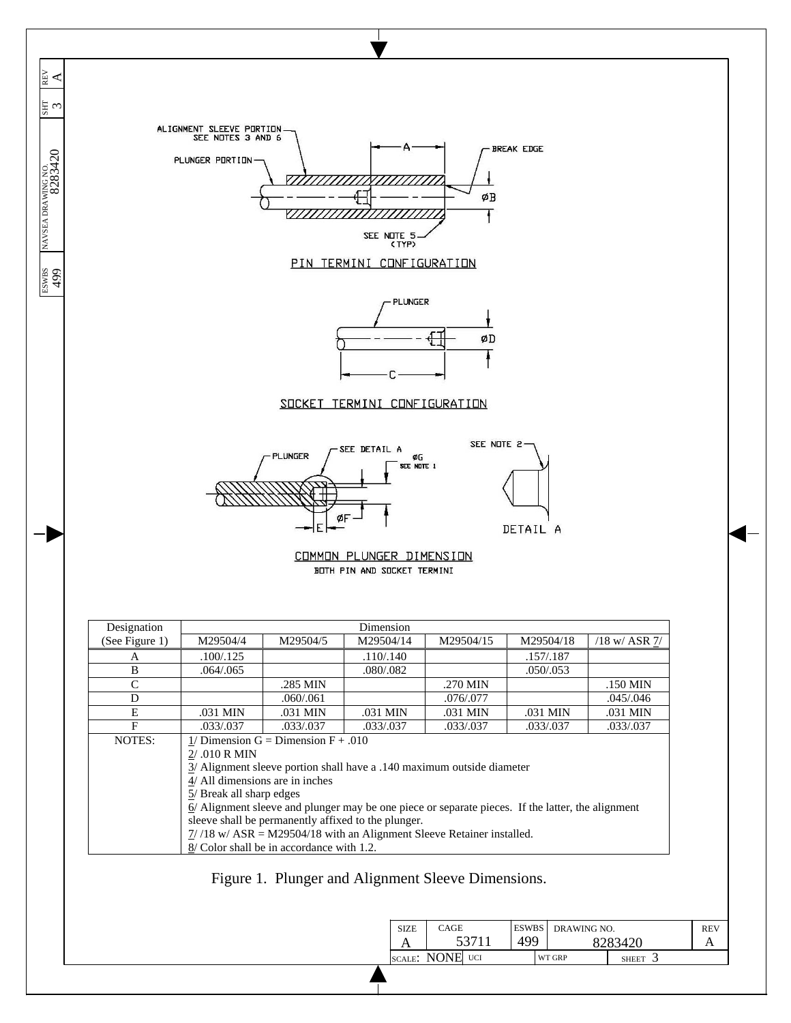ALIGNMENT SLEEVE PORTION<br>SEE NOTES 3 AND 6 **BREAK EDGE** PLUNGER PORTION- $\overline{\mathbb{H}}$  $\pmb{\phi}{\bf B}$ Ŧ SEE NOTE 5<br>(TYP PIN TERMINI CONFIGURATION

 $\overline{\phantom{a}}$  $\mathbb{R}^{\vee}$  $\overline{\phantom{a}}$ 

 $\overline{\phantom{a}}$  $\overline{\phantom{a}}$ 

NAVSEA DRAWING NO.<br>8283420

ESWBS NAVSEA DRAWING NO.  $\begin{bmatrix} 180 & 8283420 \\ 499 & 8283420 \end{bmatrix}$ 

 $\frac{24}{499}$ 



## SOCKET TERMINI CONFIGURATION

ı





| Designation    |                                                           |                                           | Dimension                                                                                           |           |            |                 |  |  |  |
|----------------|-----------------------------------------------------------|-------------------------------------------|-----------------------------------------------------------------------------------------------------|-----------|------------|-----------------|--|--|--|
| (See Figure 1) | M29504/4                                                  | M29504/5                                  | M29504/14                                                                                           | M29504/15 | M29504/18  | $/18$ w/ ASR 7/ |  |  |  |
| A              | .100/.125                                                 |                                           | .110/.140                                                                                           |           | .157/.187  |                 |  |  |  |
| B              | .064/.065                                                 |                                           | .080/.082                                                                                           |           | .050/0.053 |                 |  |  |  |
| C              |                                                           | .285 MIN                                  |                                                                                                     | .270 MIN  |            | .150 MIN        |  |  |  |
| D              |                                                           | .060/.061                                 |                                                                                                     | .076/.077 |            | .045/.046       |  |  |  |
| E              | .031 MIN                                                  | .031 MIN                                  | .031 MIN                                                                                            | .031 MIN  | .031 MIN   | .031 MIN        |  |  |  |
| F              | .033/.037                                                 | .033/.037                                 | .033/0.037                                                                                          | .033/.037 | .033/.037  | .033/.037       |  |  |  |
| NOTES:         | 1/ Dimension $G =$ Dimension $F + .010$<br>$2/0.10$ R MIN |                                           |                                                                                                     |           |            |                 |  |  |  |
|                |                                                           |                                           | $3/$ Alignment sleeve portion shall have a .140 maximum outside diameter                            |           |            |                 |  |  |  |
|                | 4/ All dimensions are in inches                           |                                           |                                                                                                     |           |            |                 |  |  |  |
|                | 5/ Break all sharp edges                                  |                                           |                                                                                                     |           |            |                 |  |  |  |
|                |                                                           |                                           | $6/$ Alignment sleeve and plunger may be one piece or separate pieces. If the latter, the alignment |           |            |                 |  |  |  |
|                |                                                           |                                           | sleeve shall be permanently affixed to the plunger.                                                 |           |            |                 |  |  |  |
|                |                                                           |                                           | $\frac{7}{18}$ w/ ASR = M29504/18 with an Alignment Sleeve Retainer installed.                      |           |            |                 |  |  |  |
|                |                                                           | 8/ Color shall be in accordance with 1.2. |                                                                                                     |           |            |                 |  |  |  |

Figure 1. Plunger and Alignment Sleeve Dimensions.

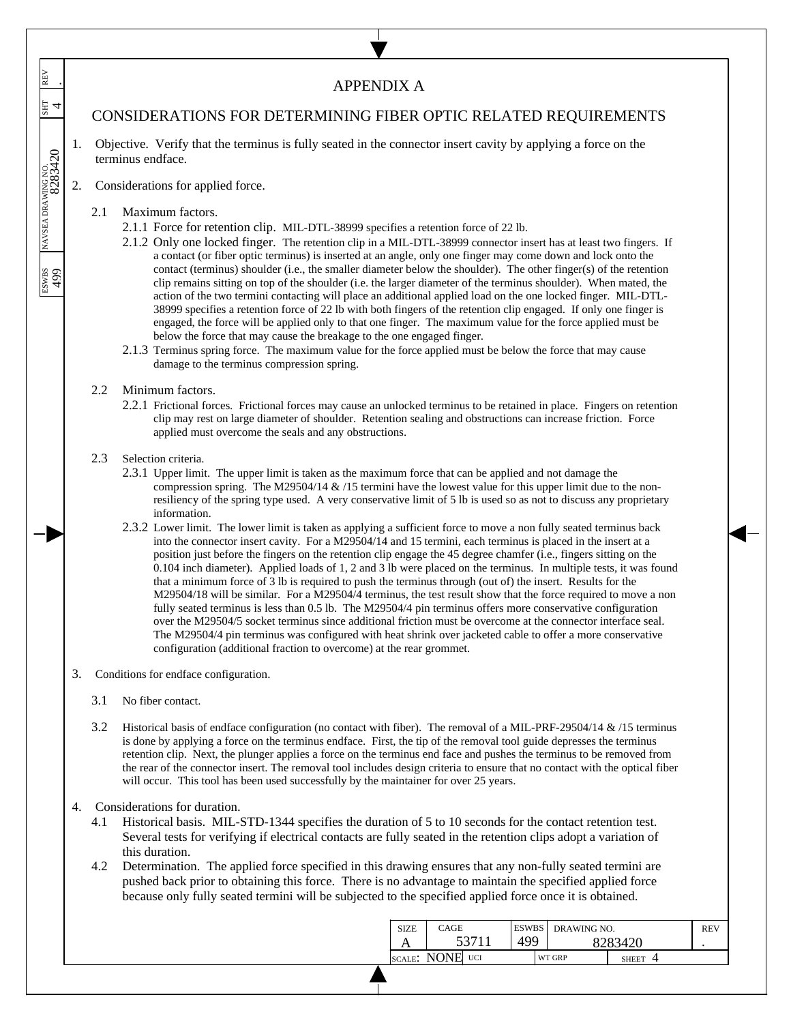| REV                                                  |    |                                                                                                                                                                                                                                                                                                                                                                                                                                                                                                                                                                                                                                                                                                                                                                                                                                                                                                                                                | <b>APPENDIX A</b>                                                                                                                                                                                                                                                                                                                                                                                                                                                                                                                                                                                                                                                                                                                                                                                                                                                                                                                                                                                                                                                                                                                                                                                                                                                                                                                                                                                                                                                                                                            |                      |       |                     |             |         |            |
|------------------------------------------------------|----|------------------------------------------------------------------------------------------------------------------------------------------------------------------------------------------------------------------------------------------------------------------------------------------------------------------------------------------------------------------------------------------------------------------------------------------------------------------------------------------------------------------------------------------------------------------------------------------------------------------------------------------------------------------------------------------------------------------------------------------------------------------------------------------------------------------------------------------------------------------------------------------------------------------------------------------------|------------------------------------------------------------------------------------------------------------------------------------------------------------------------------------------------------------------------------------------------------------------------------------------------------------------------------------------------------------------------------------------------------------------------------------------------------------------------------------------------------------------------------------------------------------------------------------------------------------------------------------------------------------------------------------------------------------------------------------------------------------------------------------------------------------------------------------------------------------------------------------------------------------------------------------------------------------------------------------------------------------------------------------------------------------------------------------------------------------------------------------------------------------------------------------------------------------------------------------------------------------------------------------------------------------------------------------------------------------------------------------------------------------------------------------------------------------------------------------------------------------------------------|----------------------|-------|---------------------|-------------|---------|------------|
| $\mathbb{E}$ 4                                       |    |                                                                                                                                                                                                                                                                                                                                                                                                                                                                                                                                                                                                                                                                                                                                                                                                                                                                                                                                                | <b>CONSIDERATIONS FOR DETERMINING FIBER OPTIC RELATED REQUIREMENTS</b>                                                                                                                                                                                                                                                                                                                                                                                                                                                                                                                                                                                                                                                                                                                                                                                                                                                                                                                                                                                                                                                                                                                                                                                                                                                                                                                                                                                                                                                       |                      |       |                     |             |         |            |
|                                                      | 1. |                                                                                                                                                                                                                                                                                                                                                                                                                                                                                                                                                                                                                                                                                                                                                                                                                                                                                                                                                | Objective. Verify that the terminus is fully seated in the connector insert cavity by applying a force on the<br>terminus endface.                                                                                                                                                                                                                                                                                                                                                                                                                                                                                                                                                                                                                                                                                                                                                                                                                                                                                                                                                                                                                                                                                                                                                                                                                                                                                                                                                                                           |                      |       |                     |             |         |            |
|                                                      | 2. |                                                                                                                                                                                                                                                                                                                                                                                                                                                                                                                                                                                                                                                                                                                                                                                                                                                                                                                                                | Considerations for applied force.                                                                                                                                                                                                                                                                                                                                                                                                                                                                                                                                                                                                                                                                                                                                                                                                                                                                                                                                                                                                                                                                                                                                                                                                                                                                                                                                                                                                                                                                                            |                      |       |                     |             |         |            |
| NAVSEA DRAWING NO.<br>8283420<br><b>ESWBS</b><br>499 |    | 2.1.2 Only one locked finger. The retention clip in a MIL-DTL-38999 connector insert has at least two fingers. If<br>a contact (or fiber optic terminus) is inserted at an angle, only one finger may come down and lock onto the<br>contact (terminus) shoulder (i.e., the smaller diameter below the shoulder). The other finger(s) of the retention<br>clip remains sitting on top of the shoulder (i.e. the larger diameter of the terminus shoulder). When mated, the<br>action of the two termini contacting will place an additional applied load on the one locked finger. MIL-DTL-<br>38999 specifies a retention force of 22 lb with both fingers of the retention clip engaged. If only one finger is<br>engaged, the force will be applied only to that one finger. The maximum value for the force applied must be<br>2.1.3 Terminus spring force. The maximum value for the force applied must be below the force that may cause |                                                                                                                                                                                                                                                                                                                                                                                                                                                                                                                                                                                                                                                                                                                                                                                                                                                                                                                                                                                                                                                                                                                                                                                                                                                                                                                                                                                                                                                                                                                              |                      |       |                     |             |         |            |
|                                                      |    | 2.2                                                                                                                                                                                                                                                                                                                                                                                                                                                                                                                                                                                                                                                                                                                                                                                                                                                                                                                                            | Minimum factors.<br>2.2.1 Frictional forces. Frictional forces may cause an unlocked terminus to be retained in place. Fingers on retention<br>clip may rest on large diameter of shoulder. Retention sealing and obstructions can increase friction. Force<br>applied must overcome the seals and any obstructions.                                                                                                                                                                                                                                                                                                                                                                                                                                                                                                                                                                                                                                                                                                                                                                                                                                                                                                                                                                                                                                                                                                                                                                                                         |                      |       |                     |             |         |            |
|                                                      |    | 2.3                                                                                                                                                                                                                                                                                                                                                                                                                                                                                                                                                                                                                                                                                                                                                                                                                                                                                                                                            | Selection criteria.<br>2.3.1 Upper limit. The upper limit is taken as the maximum force that can be applied and not damage the<br>compression spring. The M29504/14 $\&$ /15 termini have the lowest value for this upper limit due to the non-<br>resiliency of the spring type used. A very conservative limit of 5 lb is used so as not to discuss any proprietary<br>information.<br>2.3.2 Lower limit. The lower limit is taken as applying a sufficient force to move a non fully seated terminus back<br>into the connector insert cavity. For a M29504/14 and 15 termini, each terminus is placed in the insert at a<br>position just before the fingers on the retention clip engage the 45 degree chamfer (i.e., fingers sitting on the<br>0.104 inch diameter). Applied loads of 1, 2 and 3 lb were placed on the terminus. In multiple tests, it was found<br>that a minimum force of 3 lb is required to push the terminus through (out of) the insert. Results for the<br>M29504/18 will be similar. For a M29504/4 terminus, the test result show that the force required to move a non<br>fully seated terminus is less than 0.5 lb. The M29504/4 pin terminus offers more conservative configuration<br>over the M29504/5 socket terminus since additional friction must be overcome at the connector interface seal.<br>The M29504/4 pin terminus was configured with heat shrink over jacketed cable to offer a more conservative<br>configuration (additional fraction to overcome) at the rear grommet. |                      |       |                     |             |         |            |
|                                                      | 3. |                                                                                                                                                                                                                                                                                                                                                                                                                                                                                                                                                                                                                                                                                                                                                                                                                                                                                                                                                | Conditions for endface configuration.                                                                                                                                                                                                                                                                                                                                                                                                                                                                                                                                                                                                                                                                                                                                                                                                                                                                                                                                                                                                                                                                                                                                                                                                                                                                                                                                                                                                                                                                                        |                      |       |                     |             |         |            |
|                                                      |    | 3.1                                                                                                                                                                                                                                                                                                                                                                                                                                                                                                                                                                                                                                                                                                                                                                                                                                                                                                                                            | No fiber contact.                                                                                                                                                                                                                                                                                                                                                                                                                                                                                                                                                                                                                                                                                                                                                                                                                                                                                                                                                                                                                                                                                                                                                                                                                                                                                                                                                                                                                                                                                                            |                      |       |                     |             |         |            |
|                                                      |    | 3.2                                                                                                                                                                                                                                                                                                                                                                                                                                                                                                                                                                                                                                                                                                                                                                                                                                                                                                                                            | Historical basis of endface configuration (no contact with fiber). The removal of a MIL-PRF-29504/14 & /15 terminus<br>is done by applying a force on the terminus endface. First, the tip of the removal tool guide depresses the terminus<br>retention clip. Next, the plunger applies a force on the terminus end face and pushes the terminus to be removed from<br>the rear of the connector insert. The removal tool includes design criteria to ensure that no contact with the optical fiber<br>will occur. This tool has been used successfully by the maintainer for over 25 years.                                                                                                                                                                                                                                                                                                                                                                                                                                                                                                                                                                                                                                                                                                                                                                                                                                                                                                                                |                      |       |                     |             |         |            |
|                                                      | 4. | 4.1<br>4.2                                                                                                                                                                                                                                                                                                                                                                                                                                                                                                                                                                                                                                                                                                                                                                                                                                                                                                                                     | Considerations for duration.<br>Historical basis. MIL-STD-1344 specifies the duration of 5 to 10 seconds for the contact retention test.<br>Several tests for verifying if electrical contacts are fully seated in the retention clips adopt a variation of<br>this duration.<br>Determination. The applied force specified in this drawing ensures that any non-fully seated termini are<br>pushed back prior to obtaining this force. There is no advantage to maintain the specified applied force<br>because only fully seated termini will be subjected to the specified applied force once it is obtained.                                                                                                                                                                                                                                                                                                                                                                                                                                                                                                                                                                                                                                                                                                                                                                                                                                                                                                             |                      |       |                     |             |         |            |
|                                                      |    |                                                                                                                                                                                                                                                                                                                                                                                                                                                                                                                                                                                                                                                                                                                                                                                                                                                                                                                                                |                                                                                                                                                                                                                                                                                                                                                                                                                                                                                                                                                                                                                                                                                                                                                                                                                                                                                                                                                                                                                                                                                                                                                                                                                                                                                                                                                                                                                                                                                                                              | CAGE<br><b>SIZE</b>  | 53711 | <b>ESWBS</b><br>499 | DRAWING NO. | 8283420 | <b>REV</b> |
|                                                      |    |                                                                                                                                                                                                                                                                                                                                                                                                                                                                                                                                                                                                                                                                                                                                                                                                                                                                                                                                                |                                                                                                                                                                                                                                                                                                                                                                                                                                                                                                                                                                                                                                                                                                                                                                                                                                                                                                                                                                                                                                                                                                                                                                                                                                                                                                                                                                                                                                                                                                                              | A<br>SCALE: NONE UCI |       |                     | WT GRP      | SHEET 4 |            |

 $\overline{\phantom{a}}$ 

SCALE: NONE UCI WT GRP SHEET 4